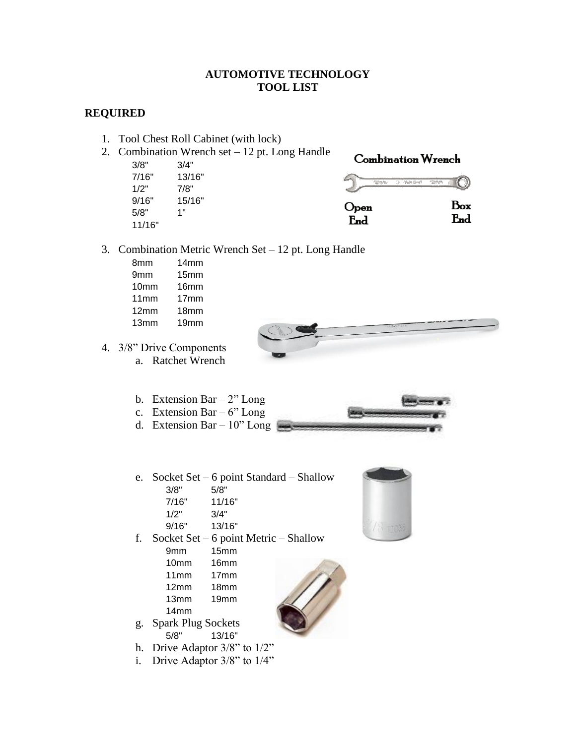## **AUTOMOTIVE TECHNOLOGY TOOL LIST**

## **REQUIRED**

- 1. Tool Chest Roll Cabinet (with lock)
- 2. Combination Wrench set 12 pt. Long Handle
	- 3/8" 3/4" 7/16" 13/16" 1/2" 7/8" 9/16" 15/16" 5/8" 1" 11/16"



- 3. Combination Metric Wrench Set 12 pt. Long Handle
	- 8mm 14mm
	- 9mm 15mm
	- 10mm 16mm
	- 11mm 17mm
	- 12mm 18mm
	- 13mm 19mm
- 4. 3/8" Drive Components a. Ratchet Wrench
	- b. Extension Bar  $2$ " Long
	- c. Extension Bar  $6"$  Long
	- d. Extension Bar 10" Long
	- e. Socket Set 6 point Standard Shallow 3/8" 5/8" 7/16" 11/16"
		- 1/2" 3/4"
		- 9/16" 13/16"
	- f. Socket Set 6 point Metric Shallow
		- 9mm 15mm
		- 10mm 16mm
		- 11mm 17mm
		- 12mm 18mm
		- 13mm 19mm
		- 14mm
	- g. Spark Plug Sockets 5/8" 13/16"
	- h. Drive Adaptor 3/8" to 1/2"
	- i. Drive Adaptor 3/8" to 1/4"



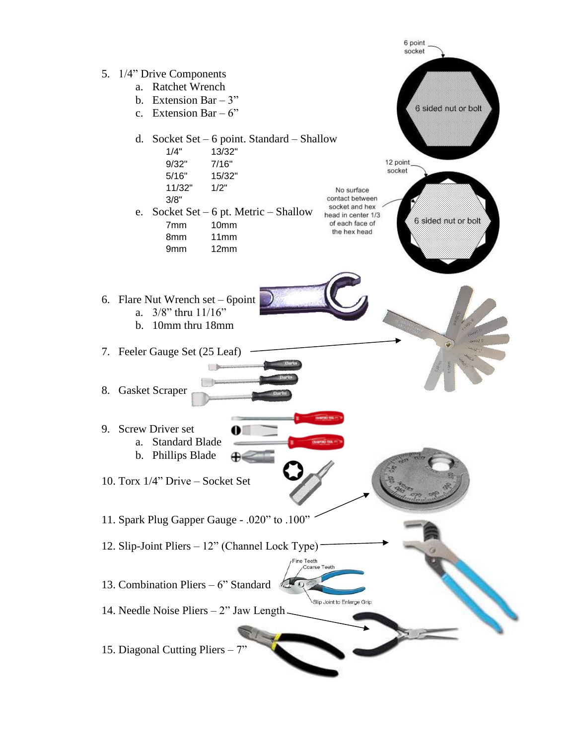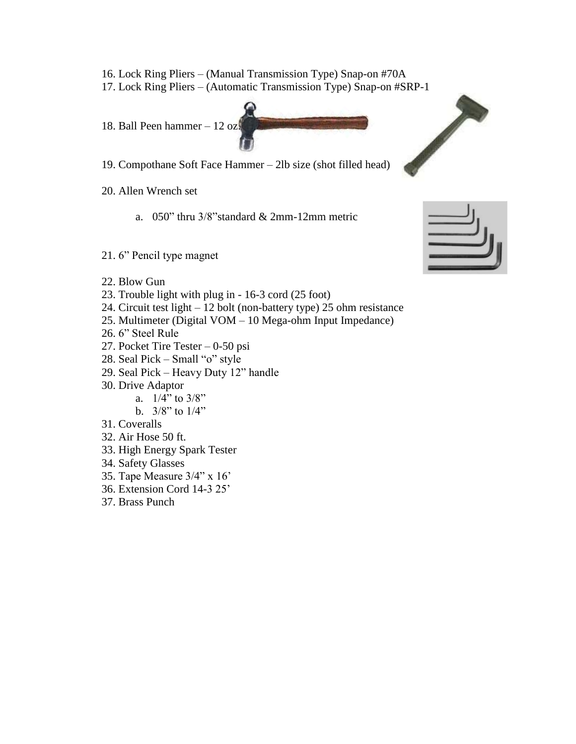- 16. Lock Ring Pliers (Manual Transmission Type) Snap-on #70A
- 17. Lock Ring Pliers (A[utomatic Transmission](http://www.bing.com/images/search?q=ball+peen+hammer#focal=d3b77df7890926156d49de96d119b5af&furl=http://www.professionalequipment.com/product_images/lbv96727s_product.jpg) Type) Snap-on #SRP-1



- 19. Compothane Soft Face Hammer 2lb size (shot filled head)
- 20. Allen Wrench set
	- a. 050" thru 3/8"standard & 2mm-12mm metric
- 21. 6" Pencil type magnet
- 22. Blow Gun
- 23. Trouble light with plug in 16-3 cord (25 foot)
- 24. Circuit test light 12 bolt (non-battery type) 25 ohm resistance
- 25. Multimeter (Digital VOM 10 Mega-ohm Input Impedance)
- 26. 6" Steel Rule
- 27. Pocket Tire Tester 0-50 psi
- 28. Seal Pick Small "o" style
- 29. Seal Pick Heavy Duty 12" handle
- 30. Drive Adaptor
	- a.  $1/4$ " to  $3/8$ "
	- b.  $3/8$ " to  $1/4$ "
- 31. Coveralls
- 32. Air Hose 50 ft.
- 33. High Energy Spark Tester
- 34. Safety Glasses
- 35. Tape Measure 3/4" x 16'
- 36. Extension Cord 14-3 25'
- 37. Brass Punch